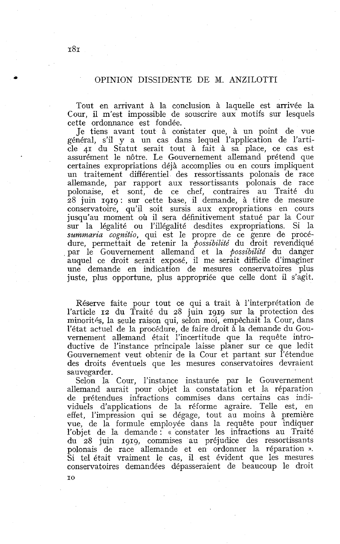# OPINION DISSIDENTE DE M. ANZILOTTI

Tout en arrivant à la conclusion à laquelle est arrivée la Cour, il m'est impossible de souscrire aux motifs sur lesquels cette ordonnance est fondée.

Je tiens avant tout à constater que, à un point de vue général, s'il y a un cas dans lequel l'application de l'article **41** du Statut serait tout à fait à sa place, ce cas est assurément le nôtre. Le Gouvernement allemand prétend que certaines expropriations déjà accomplies ou en cours impliquent un traitement différentiel des ressortissants polonais de race allemande, par rapport aux ressortissants polonais de race polonaise, et sont, de ce chef, contraires au Traité du 28 juin **1919** : sur cette base, il demande, à titre de mesure conservatoire, qu'il soit sursis aux expropriations en cours jusqu'au moment où il sera définitivement statué par la Cour sur la légalité ou l'illégalité desdites expropriations. Si la *summaria cognitio,* qui est le propre de ce genre de procédure, permettait de retenir la *possibilité* du droit revendiqué , par le Gouvernement allemand et la *possibilité* du danger auquel ce droit serait exposé, il me serait difficile d'imaginer une demande en indication de mesures conservatoires plus juste, plus opportune, plus appropriée que celle dont il s'agit.

Réserve faite pour tout ce qui a trait à l'interprétation de l'article 12 du Traité du 28 juin **1919** sur la protection des minorités, la seule raison qui, selon moi, empêchait la Cour, dans l'état actuel de la procédure, de faire droit à la demande du Gouvernement allemand était l'incertitude que la requête introductive de l'instance principale laisse planer sur ce que ledit Gouvernement veut obtenir de la Cour et partant sur l'étendue des droits éventuels que les mesures conservatoires devraient sauvegarder.

Selon la Cour, l'instance instaurée par le Gouvernement allemand aurait pour objet la constatation et la réparation de prétendues infractions commises dans certains cas individuels d'applicationç de la réforme agraire. Telle est, en effet, l'impression qui se dégage, tout au moins à première vue, de la formule employée dans la requête pour indiquer l'objet de la demande : « constater les infractions au Traité du 28 juin 1919, commises au préjudice des ressortissants polonais de race allemande et en ordonner la réparation ». Si tel était vraiment le cas, il est évident que les mesures conservatoires demandées dépasseraient de beaucoup le droit

T<sub>0</sub>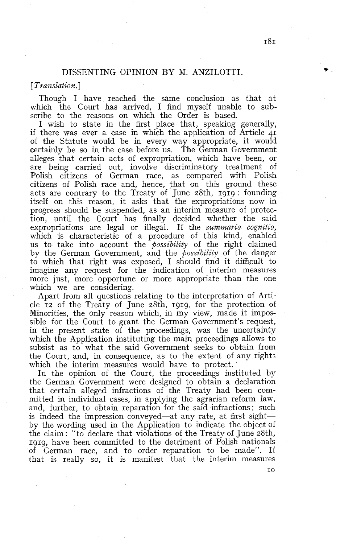## DISSENTING OPINION BY M. ANZILOTTI.

#### [ *Translation.]*

Though I have reached the same conclusion as that at which the Court has arrived, I find myself unable to subscribe to the reasons on which the Order is based.

1 wish to state in the first place that, speaking generally, if there was ever a case in which the application of Article 41 of the Statute would be in every way appropriate, it would certainly be so in the case before us. The German Government alleges that certain acts of expropriation, which have been, or are being carried out, involve discriminatory treatment of Polish citizens of German race, as compared with Polish citizens of Polish race and, hence, that on this ground these acts are contrary to the Treaty of June 28th, 1919 : founding itself on this reason, it asks that the expropriations now in progress should be suspended, as an interim measure of protection, until the Court has finally decided whether the said expropriations are legal or illegal. If the *summavia cognitio,*  which is characteristic of a procedure of this kind, enabled us to take into account the *possibility* of the right claimed by the German Government, and the *possibility* of the danger to which that right was exposed, 1 should find it difficult to imagine any request for the indication of interim measures more just, more opportune or more appropriate than the one which we are considering.

Apart from al1 questions relating to the interpretation of Article 12 of the Treaty of June 28th, 1919, for the protection of Minorities, the only reason which, in my view, made it impossible for the Court to grant the German Government's request, in the present state of the proceedings, was the uncertainty which the Application instituting the main proceedings allows to subsist as to what the said Government seeks to obtain from the Court, and, in consequence, as to the extent of any right; which the interim measures would have to protect.

In the opinion of the Court, the proceedings instituted by the German Government were designed to obtain a declaration that certain alleged infractions of the Treaty had been committed in individual cases, in applying the agrarian reform law, and, further, to obtain reparation for the said infractions; such is indeed the impression conveyed—at any rate, at first sight by the wording used in the Application to indicate the object of the claim: "to declare that violations of the Treaty of June 28th, 1919, have been committed to the detriment of Polish nationals of German race, and to order reparation to be made". If that is really so, it is manifest that the interim measures

IO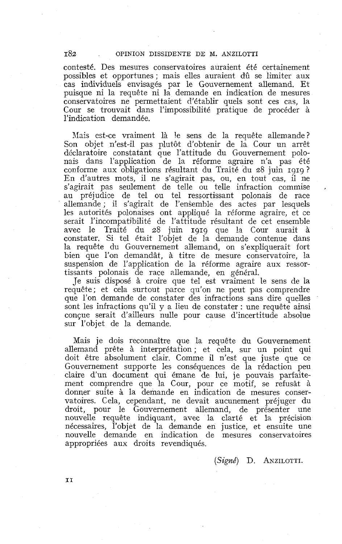### 182 OPINION DISSIDENTE DE M. ANZILOTTI

contesté. Des mesures conservatoires auraient été certainement possibles et opportunes ; mais elles auraient dû se limiter aux cas individuels envisagés par le Gouvernement allemand. Et puisque ni la requête ni la demande en indication de mesures conservatoires ne permettaient d'établir quels sont ces cas, la Cour se trouvait dans l'impossibilité pratique de procéder à l'indication demandée.

Mais est-ce vraiment là je sens de la requête allemande? Son objet n'est-il pas plutôt d'obtenir de la Cour un arrêt déclaratoire constatant que l'attitude du Gouvernement polonais dans l'application de la réforme agraire n'a pas été conforme aux obligations résultant du Traité du 28 juin 1919 ? En d'autres mots, il ne s'agirait pas, ou, en tout cas, il ne s'agirait pas seulement de telle ou telle infraction commise au préjudice de tel ou tel ressortissant polonais de race allemande ; il s'agirait de l'ensemble des actes par lesquels les autorités polonaises ont appliqué la réforme agraire, et ce serait l'incompatjbilité de l'attitude résultant de cet ensemble avec le Traité du 28 juin 1919 que la Cour aurait à constater. Si tel était l'objet de la deniande contenue dans la requête du Gouvernement allemand, on s'expliquerait fort bien que l'on demandât, à titre de mesure conservatoire, la suspension de l'application de la réforme agraire aux ressortissants polonais de race allemande, en général.

Je suis disposé à croire que tel est vraiment le sens de la requête; et cela surtout parce qu'on ne peut pas comprendre que l'on demande de constater des infractions sans dire quelles sont les infractions qu'il y a lieu de constater : une requête ainsi conçue serait d'ailleurs nulle pour cause d'incertitude absolue sur l'objet de la demande.

Mais je dois reconnaître que la requête du Gouvernement allemand prête à interprétation ; et cela, sur un point qui doit être absolument clair. Comme il n'est que juste que ce Gouvernement supporte les conséquences de la rédaction peu claire d'un document qui émane de lui, je pouvais parfaitement comprendre que la Cour, pour ce motif, se refusât à donner suite à la demande en indication de mesures conservatoires. Cela, cependant, ne devait aucunement préjuger du droit, pour le Gouvernement allemand, de présenter une nouvelle requête indiquant, avec la clarté et la précision nécessaires, l'objet de la demande en justice, et ensuite une nouvelle demande en indication de mesures conservatoires appropriées aux droits revendiqués.

**(Signé)** D. ANZILOTTI.